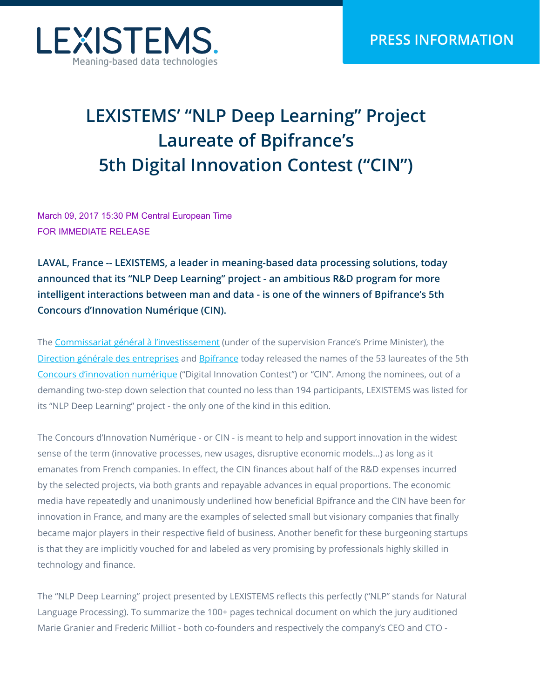

# **LEXISTEMS' "NLP Deep Learning" Project Laureate of Bpifrance's 5th Digital Innovation Contest ("CIN")**

March 09, 2017 15:30 PM Central European Time FOR IMMEDIATE RELEASE

**LAVAL, France -- LEXISTEMS, a leader in meaning-based data processing solutions, today announced that its "NLP Deep Learning" project - an ambitious R&D program for more intelligent interactions between man and data - is one of the winners of Bpifrance's 5th Concours d'Innovation Numérique (CIN).** 

The [Commissariat général à l'investissement](http://www.gouvernement.fr/le-commissariat-general-a-l-investissement) (under of the supervision France's Prime Minister), the [Direction générale des entreprises](https://www.entreprises.gouv.fr/) and [Bpifrance](http://www.bpifrance.fr/) today released the names of the 53 laureates of the 5th [Concours d'innovation numérique](http://www.bpifrance.fr/A-la-une/Appels-a-projet-concours/Concours-innovation-numerique-14619) ("Digital Innovation Contest") or "CIN". Among the nominees, out of a demanding two-step down selection that counted no less than 194 participants, LEXISTEMS was listed for its "NLP Deep Learning" project - the only one of the kind in this edition.

The Concours d'Innovation Numérique - or CIN - is meant to help and support innovation in the widest sense of the term (innovative processes, new usages, disruptive economic models...) as long as it emanates from French companies. In effect, the CIN finances about half of the R&D expenses incurred by the selected projects, via both grants and repayable advances in equal proportions. The economic media have repeatedly and unanimously underlined how beneficial Bpifrance and the CIN have been for innovation in France, and many are the examples of selected small but visionary companies that finally became major players in their respective field of business. Another benefit for these burgeoning startups is that they are implicitly vouched for and labeled as very promising by professionals highly skilled in technology and finance.

The "NLP Deep Learning" project presented by LEXISTEMS reflects this perfectly ("NLP" stands for Natural Language Processing). To summarize the 100+ pages technical document on which the jury auditioned Marie Granier and Frederic Milliot - both co-founders and respectively the company's CEO and CTO -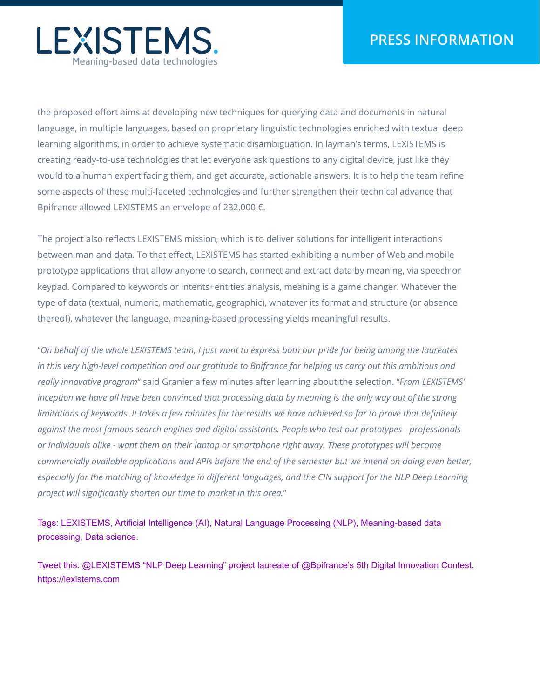

the proposed effort aims at developing new techniques for querying data and documents in natural language, in multiple languages, based on proprietary linguistic technologies enriched with textual deep learning algorithms, in order to achieve systematic disambiguation. In layman's terms, LEXISTEMS is creating ready-to-use technologies that let everyone ask questions to any digital device, just like they would to a human expert facing them, and get accurate, actionable answers. It is to help the team refine some aspects of these multi-faceted technologies and further strengthen their technical advance that Bpifrance allowed LEXISTEMS an envelope of 232,000 €.

The project also reflects LEXISTEMS mission, which is to deliver solutions for intelligent interactions between man and data. To that effect, LEXISTEMS has started exhibiting a number of Web and mobile prototype applications that allow anyone to search, connect and extract data by meaning, via speech or keypad. Compared to keywords or intents+entities analysis, meaning is a game changer. Whatever the type of data (textual, numeric, mathematic, geographic), whatever its format and structure (or absence thereof), whatever the language, meaning-based processing yields meaningful results.

"*On behalf of the whole LEXISTEMS team, I just want to express both our pride for being among the laureates in this very high-level competition and our gratitude to Bpifrance for helping us carry out this ambitious and really innovative program*" said Granier a few minutes after learning about the selection. "*From LEXISTEMS' inception we have all have been convinced that processing data by meaning is the only way out of the strong limitations of keywords. It takes a few minutes for the results we have achieved so far to prove that definitely against the most famous search engines and digital assistants. People who test our prototypes - professionals or individuals alike - want them on their laptop or smartphone right away. These prototypes will become commercially available applications and APIs before the end of the semester but we intend on doing even better,* especially for the matching of knowledge in different languages, and the CIN support for the NLP Deep Learning *project will significantly shorten our time to market in this area.*"

Tags: LEXISTEMS, Artificial Intelligence (AI), Natural Language Processing (NLP), Meaning-based data processing, Data science.

Tweet this: @LEXISTEMS "NLP Deep Learning" project laureate of @Bpifrance's 5th Digital Innovation Contest. https://lexistems.com